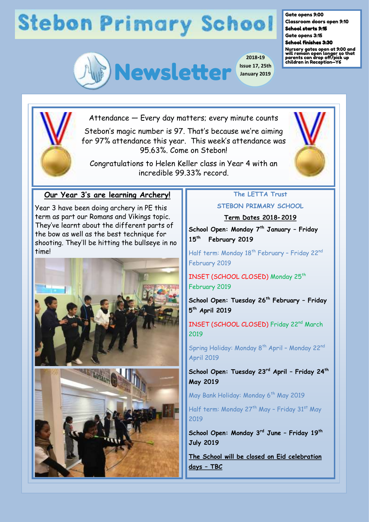## **Stebon Primary School**



**2018-19 Issue 17, 25th January 2019**

Gate opens 9:00

Classroom doors open 9:10 School starts 9:15

Gate opens 3:15 School finishes 3:30

Nursery gates open at 9:00 and will remain open longer so that parents can drop off/pick up children in Reception—Y6



Attendance — Every day matters; every minute counts

Stebon's magic number is 97. That's because we're aiming for 97% attendance this year. This week's attendance was 95.63%. Come on Stebon!

Congratulations to Helen Keller class in Year 4 with an incredible 99.33% record.



Year 3 have been doing archery in PE this term as part our Romans and Vikings topic. They've learnt about the different parts of the bow as well as the best technique for shooting. They'll be hitting the bullseye in no time!





## **The LETTA Trust**

**STEBON PRIMARY SCHOOL**

**Term Dates 2018-2019** 

**School Open: Monday 7th January – Friday 15th February 2019**

Half term: Monday 18<sup>th</sup> February - Friday 22<sup>nd</sup> February 2019

INSET (SCHOOL CLOSED) Monday 25<sup>th</sup> February 2019

**School Open: Tuesday 26th February – Friday 5 th April 2019**

INSET (SCHOOL CLOSED) Friday 22<sup>nd</sup> March 2019

Spring Holiday: Monday 8<sup>th</sup> April - Monday 22<sup>nd</sup> April 2019

**School Open: Tuesday 23rd April – Friday 24th May 2019**

May Bank Holiday: Monday 6<sup>th</sup> May 2019

Half term: Monday 27<sup>th</sup> May - Friday 31<sup>st</sup> May 2019

**School Open: Monday 3rd June – Friday 19th July 2019**

**The School will be closed on Eid celebration days – TBC**